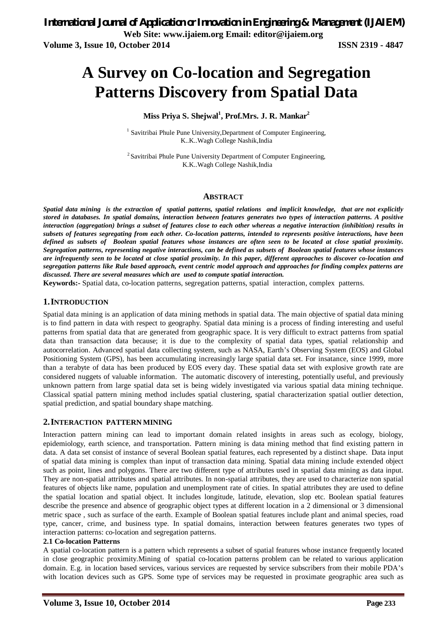# **A Survey on Co-location and Segregation Patterns Discovery from Spatial Data**

# **Miss Priya S. Shejwal<sup>1</sup> , Prof.Mrs. J. R. Mankar<sup>2</sup>**

<sup>1</sup> Savitribai Phule Pune University, Department of Computer Engineering, K..K..Wagh College Nashik,India

<sup>2</sup> Savitribai Phule Pune University Department of Computer Engineering, K.K..Wagh College Nashik,India

#### **ABSTRACT**

*Spatial data mining is the extraction of spatial patterns, spatial relations and implicit knowledge, that are not explicitly stored in databases. In spatial domains, interaction between features generates two types of interaction patterns. A positive interaction (aggregation) brings a subset of features close to each other whereas a negative interaction (inhibition) results in subsets of features segregating from each other. Co-location patterns, intended to represents positive interactions, have been defined as subsets of Boolean spatial features whose instances are often seen to be located at close spatial proximity. Segregation patterns, representing negative interactions, can be defined as subsets of Boolean spatial features whose instances are infrequently seen to be located at close spatial proximity. In this paper, different approaches to discover co-location and segregation patterns like Rule based approach, event centric model approach and approaches for finding complex patterns are discussed. There are several measures which are used to compute spatial interaction.* 

**Keywords:-** Spatial data, co-location patterns, segregation patterns, spatial interaction, complex patterns.

### **1.INTRODUCTION**

Spatial data mining is an application of data mining methods in spatial data. The main objective of spatial data mining is to find pattern in data with respect to geography. Spatial data mining is a process of finding interesting and useful patterns from spatial data that are generated from geographic space. It is very difficult to extract patterns from spatial data than transaction data because; it is due to the complexity of spatial data types, spatial relationship and autocorrelation. Advanced spatial data collecting system, such as NASA, Earth's Observing System (EOS) and Global Positioning System (GPS), has been accumulating increasingly large spatial data set. For insatance, since 1999, more than a terabyte of data has been produced by EOS every day. These spatial data set with explosive growth rate are considered nuggets of valuable information. The automatic discovery of interesting, potentially useful, and previously unknown pattern from large spatial data set is being widely investigated via various spatial data mining technique. Classical spatial pattern mining method includes spatial clustering, spatial characterization spatial outlier detection, spatial prediction, and spatial boundary shape matching.

#### **2.INTERACTION PATTERN MINING**

Interaction pattern mining can lead to important domain related insights in areas such as ecology, biology, epidemiology, earth science, and transportation. Pattern mining is data mining method that find existing pattern in data. A data set consist of instance of several Boolean spatial features, each represented by a distinct shape. Data input of spatial data mining is complex than input of transaction data mining. Spatial data mining include extended object such as point, lines and polygons. There are two different type of attributes used in spatial data mining as data input. They are non-spatial attributes and spatial attributes. In non-spatial attributes, they are used to characterize non spatial features of objects like name, population and unemployment rate of cities. In spatial attributes they are used to define the spatial location and spatial object. It includes longitude, latitude, elevation, slop etc. Boolean spatial features describe the presence and absence of geographic object types at different location in a 2 dimensional or 3 dimensional metric space , such as surface of the earth. Example of Boolean spatial features include plant and animal species, road type, cancer, crime, and business type. In spatial domains, interaction between features generates two types of interaction patterns: co-location and segregation patterns.

#### **2.1 Co-location Patterns**

A spatial co-location pattern is a pattern which represents a subset of spatial features whose instance frequently located in close geographic proximity.Mining of spatial co-location patterns problem can be related to various application domain. E.g. in location based services, various services are requested by service subscribers from their mobile PDA's with location devices such as GPS. Some type of services may be requested in proximate geographic area such as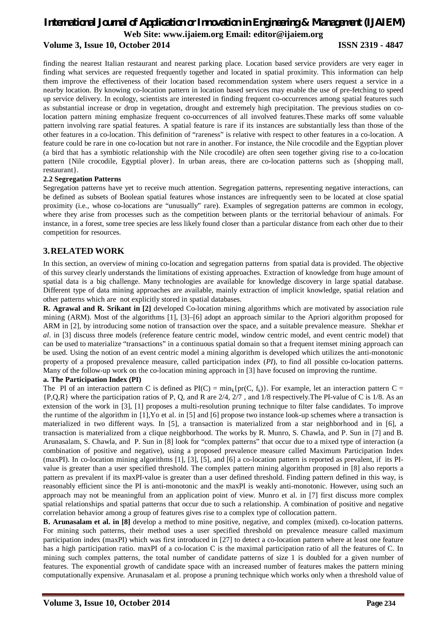finding the nearest Italian restaurant and nearest parking place. Location based service providers are very eager in finding what services are requested frequently together and located in spatial proximity. This information can help them improve the effectiveness of their location based recommendation system where users request a service in a nearby location. By knowing co-location pattern in location based services may enable the use of pre-fetching to speed up service delivery. In ecology, scientists are interested in finding frequent co-occurrences among spatial features such as substantial increase or drop in vegetation, drought and extremely high precipitation. The previous studies on colocation pattern mining emphasize frequent co-occurrences of all involved features.These marks off some valuable pattern involving rare spatial features. A spatial feature is rare if its instances are substantially less than those of the other features in a co-location. This definition of "rareness" is relative with respect to other features in a co-location. A feature could be rare in one co-location but not rare in another. For instance, the Nile crocodile and the Egyptian plover (a bird that has a symbiotic relationship with the Nile crocodile) are often seen together giving rise to a co-location pattern {Nile crocodile*,* Egyptial plover}. In urban areas, there are co-location patterns such as {shopping mall*,*  restaurant}.

#### **2.2 Segregation Patterns**

Segregation patterns have yet to receive much attention. Segregation patterns, representing negative interactions, can be defined as subsets of Boolean spatial features whose instances are infrequently seen to be located at close spatial proximity (i.e., whose co-locations are "unusually" rare). Examples of segregation patterns are common in ecology, where they arise from processes such as the competition between plants or the territorial behaviour of animals. For instance, in a forest, some tree species are less likely found closer than a particular distance from each other due to their competition for resources.

# **3.RELATED WORK**

In this section, an overview of mining co-location and segregation patterns from spatial data is provided. The objective of this survey clearly understands the limitations of existing approaches. Extraction of knowledge from huge amount of spatial data is a big challenge. Many technologies are available for knowledge discovery in large spatial database. Different type of data mining approaches are available, mainly extraction of implicit knowledge, spatial relation and other patterns which are not explicitly stored in spatial databases.

**R. Agrawal and R. Srikant in [2]** developed Co-location mining algorithms which are motivated by association rule mining (ARM). Most of the algorithms [1], [3]–[6] adopt an approach similar to the Apriori algorithm proposed for ARM in [2], by introducing some notion of transaction over the space, and a suitable prevalence measure. Shekhar *et al*. in [3] discuss three models (reference feature centric model, window centric model, and event centric model) that can be used to materialize "transactions" in a continuous spatial domain so that a frequent itemset mining approach can be used. Using the notion of an event centric model a mining algorithm is developed which utilizes the anti-monotonic property of a proposed prevalence measure, called participation index (*PI*), to find all possible co-location patterns. Many of the follow-up work on the co-location mining approach in [3] have focused on improving the runtime.

#### **a. The Participation Index (PI)**

The PI of an interaction pattern C is defined as  $PI(C) = min_k \{pr(C, f_k)\}\$ . For example, let an interaction pattern C = {P,Q,R} where the participation ratios of P, Q, and R are 2/4, 2/7 , and 1/8 respectively.The PI-value of C is 1/8. As an extension of the work in [3], [1] proposes a multi-resolution pruning technique to filter false candidates. To improve the runtime of the algorithm in [1],Yo et al. in [5] and [6] propose two instance look-up schemes where a transaction is materialized in two different ways. In [5], a transaction is materialized from a star neighborhood and in [6], a transaction is materialized from a clique neighborhood. The works by R. Munro, S. Chawla, and P. Sun in [7] and B. Arunasalam, S. Chawla, and P. Sun in [8] look for "complex patterns" that occur due to a mixed type of interaction (a combination of positive and negative), using a proposed prevalence measure called Maximum Participation Index (maxPI). In co-location mining algorithms [1], [3], [5], and [6] a co-location pattern is reported as prevalent, if its PIvalue is greater than a user specified threshold. The complex pattern mining algorithm proposed in [8] also reports a pattern as prevalent if its maxPI-value is greater than a user defined threshold. Finding pattern defined in this way, is reasonably efficient since the PI is anti-monotonic and the maxPI is weakly anti-monotonic. However, using such an approach may not be meaningful from an application point of view. Munro et al. in [7] first discuss more complex spatial relationships and spatial patterns that occur due to such a relationship. A combination of positive and negative correlation behavior among a group of features gives rise to a complex type of collocation pattern.

**B. Arunasalam et al. in [8]** develop a method to mine positive, negative, and complex (mixed). co-location patterns. For mining such patterns, their method uses a user specified threshold on prevalence measure called maximum participation index (maxPI) which was first introduced in [27] to detect a co-location pattern where at least one feature has a high participation ratio. maxPI of a co-location C is the maximal participation ratio of all the features of C. In mining such complex patterns, the total number of candidate patterns of size 1 is doubled for a given number of features. The exponential growth of candidate space with an increased number of features makes the pattern mining computationally expensive. Arunasalam et al. propose a pruning technique which works only when a threshold value of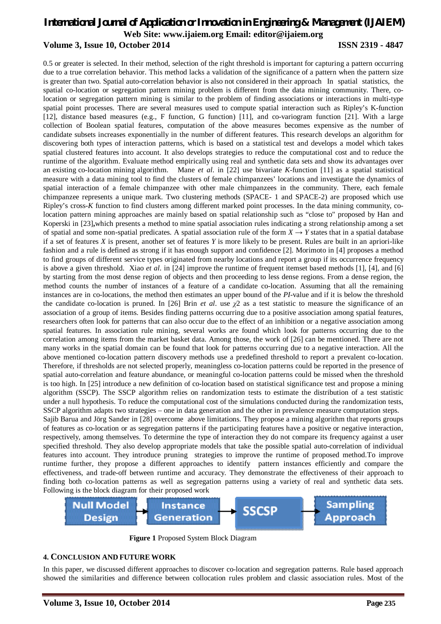0.5 or greater is selected. In their method, selection of the right threshold is important for capturing a pattern occurring due to a true correlation behavior. This method lacks a validation of the significance of a pattern when the pattern size is greater than two. Spatial auto-correlation behavior is also not considered in their approach In spatial statistics, the spatial co-location or segregation pattern mining problem is different from the data mining community. There, colocation or segregation pattern mining is similar to the problem of finding associations or interactions in multi-type spatial point processes. There are several measures used to compute spatial interaction such as Ripley's K-function [12], distance based measures (e.g., F function, G function) [11], and co-variogram function [21]. With a large collection of Boolean spatial features, computation of the above measures becomes expensive as the number of candidate subsets increases exponentially in the number of different features. This research develops an algorithm for discovering both types of interaction patterns, which is based on a statistical test and develops a model which takes spatial clustered features into account. It also develops strategies to reduce the computational cost and to reduce the runtime of the algorithm. Evaluate method empirically using real and synthetic data sets and show its advantages over an existing co-location mining algorithm. Mane *et al*. in [22] use bivariate *K*-function [11] as a spatial statistical measure with a data mining tool to find the clusters of female chimpanzees' locations and investigate the dynamics of spatial interaction of a female chimpanzee with other male chimpanzees in the community. There, each female chimpanzee represents a unique mark. Two clustering methods (SPACE- 1 and SPACE-2) are proposed which use Ripley's cross-*K* function to find clusters among different marked point processes. In the data mining community, colocation pattern mining approaches are mainly based on spatial relationship such as "close to" proposed by Han and Koperski in [23]**,**which presents a method to mine spatial association rules indicating a strong relationship among a set of spatial and some non-spatial predicates. A spatial association rule of the form  $X \rightarrow Y$  states that in a spatial database if a set of features *X* is present, another set of features *Y* is more likely to be present. Rules are built in an apriori-like fashion and a rule is defined as strong if it has enough support and confidence [2]. Morimoto in [4] proposes a method to find groups of different service types originated from nearby locations and report a group if its occurrence frequency is above a given threshold. Xiao *et al*. in [24] improve the runtime of frequent itemset based methods [1], [4], and [6] by starting from the most dense region of objects and then proceeding to less dense regions. From a dense region, the method counts the number of instances of a feature of a candidate co-location. Assuming that all the remaining instances are in co-locations, the method then estimates an upper bound of the *PI*-value and if it is below the threshold the candidate co-location is pruned. In [26] Brin *et al*. use *χ*2 as a test statistic to measure the significance of an association of a group of items. Besides finding patterns occurring due to a positive association among spatial features, researchers often look for patterns that can also occur due to the effect of an inhibition or a negative association among spatial features. In association rule mining, several works are found which look for patterns occurring due to the correlation among items from the market basket data. Among those, the work of [26] can be mentioned. There are not many works in the spatial domain can be found that look for patterns occurring due to a negative interaction. All the above mentioned co-location pattern discovery methods use a predefined threshold to report a prevalent co-location. Therefore, if thresholds are not selected properly, meaningless co-location patterns could be reported in the presence of spatial auto-correlation and feature abundance, or meaningful co-location patterns could be missed when the threshold is too high. In [25] introduce a new definition of co-location based on statistical significance test and propose a mining algorithm (SSCP). The SSCP algorithm relies on randomization tests to estimate the distribution of a test statistic under a null hypothesis. To reduce the computational cost of the simulations conducted during the randomization tests, SSCP algorithm adapts two strategies – one in data generation and the other in prevalence measure computation steps. Sajib Barua and Jörg Sander in [28] overcome above limitations. They propose a mining algorithm that reports groups of features as co-location or as segregation patterns if the participating features have a positive or negative interaction, respectively, among themselves. To determine the type of interaction they do not compare its frequency against a user specified threshold. They also develop appropriate models that take the possible spatial auto-correlation of individual features into account. They introduce pruning strategies to improve the runtime of proposed method.To improve

runtime further, they propose a different approaches to identify pattern instances efficiently and compare the effectiveness, and trade-off between runtime and accuracy. They demonstrate the effectiveness of their approach to finding both co-location patterns as well as segregation patterns using a variety of real and synthetic data sets. Following is the block diagram for their proposed work



**Figure 1** Proposed System Block Diagram

#### **4. CONCLUSION AND FUTURE WORK**

In this paper, we discussed different approaches to discover co-location and segregation patterns. Rule based approach showed the similarities and difference between collocation rules problem and classic association rules. Most of the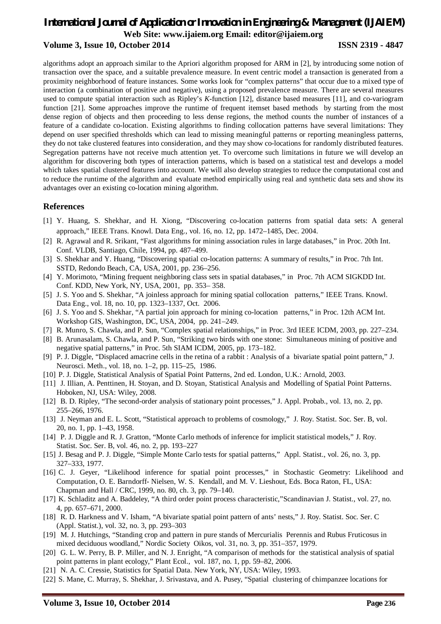algorithms adopt an approach similar to the Apriori algorithm proposed for ARM in [2], by introducing some notion of transaction over the space, and a suitable prevalence measure. In event centric model a transaction is generated from a proximity neighborhood of feature instances. Some works look for "complex patterns" that occur due to a mixed type of interaction (a combination of positive and negative), using a proposed prevalence measure. There are several measures used to compute spatial interaction such as Ripley's *K*-function [12], distance based measures [11], and co-variogram function [21]. Some approaches improve the runtime of frequent itemset based methods by starting from the most dense region of objects and then proceeding to less dense regions, the method counts the number of instances of a feature of a candidate co-location. Existing algorithms to finding collocation patterns have several limitations: They depend on user specified thresholds which can lead to missing meaningful patterns or reporting meaningless patterns, they do not take clustered features into consideration, and they may show co-locations for randomly distributed features. Segregation patterns have not receive much attention yet. To overcome such limitations in future we will develop an algorithm for discovering both types of interaction patterns, which is based on a statistical test and develops a model which takes spatial clustered features into account. We will also develop strategies to reduce the computational cost and to reduce the runtime of the algorithm and evaluate method empirically using real and synthetic data sets and show its advantages over an existing co-location mining algorithm.

# **References**

- [1] Y. Huang, S. Shekhar, and H. Xiong, "Discovering co-location patterns from spatial data sets: A general approach," IEEE Trans. Knowl. Data Eng., vol. 16, no. 12, pp. 1472–1485, Dec. 2004.
- [2] R. Agrawal and R. Srikant, "Fast algorithms for mining association rules in large databases," in Proc. 20th Int. Conf. VLDB, Santiago, Chile, 1994, pp. 487–499.
- [3] S. Shekhar and Y. Huang, "Discovering spatial co-location patterns: A summary of results," in Proc. 7th Int. SSTD, Redondo Beach, CA, USA, 2001, pp. 236–256.
- [4] Y. Morimoto, "Mining frequent neighboring class sets in spatial databases," in Proc. 7th ACM SIGKDD Int. Conf. KDD, New York, NY, USA, 2001, pp. 353– 358.
- [5] J. S. Yoo and S. Shekhar, "A joinless approach for mining spatial collocation patterns," IEEE Trans. Knowl. Data Eng., vol. 18, no. 10, pp. 1323–1337, Oct. 2006.
- [6] J. S. Yoo and S. Shekhar, "A partial join approach for mining co-location patterns," in Proc. 12th ACM Int. Workshop GIS, Washington, DC, USA, 2004, pp. 241–249.
- [7] R. Munro, S. Chawla, and P. Sun, "Complex spatial relationships," in Proc. 3rd IEEE ICDM, 2003, pp. 227–234.
- [8] B. Arunasalam, S. Chawla, and P. Sun, "Striking two birds with one stone: Simultaneous mining of positive and negative spatial patterns," in Proc. 5th SIAM ICDM, 2005, pp. 173–182.
- [9] P. J. Diggle, "Displaced amacrine cells in the retina of a rabbit : Analysis of a bivariate spatial point pattern," J. Neurosci. Meth., vol. 18, no. 1–2, pp. 115–25, 1986.
- [10] P. J. Diggle, Statistical Analysis of Spatial Point Patterns, 2nd ed. London, U.K.: Arnold, 2003.
- [11] J. Illian, A. Penttinen, H. Stoyan, and D. Stoyan, Statistical Analysis and Modelling of Spatial Point Patterns. Hoboken, NJ, USA: Wiley, 2008.
- [12] B. D. Ripley, "The second-order analysis of stationary point processes," J. Appl. Probab., vol. 13, no. 2, pp. 255–266, 1976.
- [13] J. Neyman and E. L. Scott, "Statistical approach to problems of cosmology," J. Roy. Statist. Soc. Ser. B, vol. 20, no. 1, pp. 1–43, 1958.
- [14] P. J. Diggle and R. J. Gratton, "Monte Carlo methods of inference for implicit statistical models," J. Roy. Statist. Soc. Ser. B, vol. 46, no. 2, pp. 193–227
- [15] J. Besag and P. J. Diggle, "Simple Monte Carlo tests for spatial patterns," Appl. Statist., vol. 26, no. 3, pp. 327–333, 1977.
- [16] C. J. Geyer, "Likelihood inference for spatial point processes," in Stochastic Geometry: Likelihood and Computation, O. E. Barndorff- Nielsen, W. S. Kendall, and M. V. Lieshout, Eds. Boca Raton, FL, USA: Chapman and Hall / CRC, 1999, no. 80, ch. 3, pp. 79–140.
- [17] K. Schladitz and A. Baddeley, "A third order point process characteristic,"Scandinavian J. Statist., vol. 27, no. 4, pp. 657–671, 2000.
- [18] R. D. Harkness and V. Isham, "A bivariate spatial point pattern of ants' nests," J. Roy. Statist. Soc. Ser. C (Appl. Statist.), vol. 32, no. 3, pp. 293–303
- [19] M. J. Hutchings, "Standing crop and pattern in pure stands of Mercurialis Perennis and Rubus Fruticosus in mixed deciduous woodland," Nordic Society Oikos, vol. 31, no. 3, pp. 351–357, 1979.
- [20] G. L. W. Perry, B. P. Miller, and N. J. Enright, "A comparison of methods for the statistical analysis of spatial point patterns in plant ecology," Plant Ecol., vol. 187, no. 1, pp. 59–82, 2006.
- [21] N. A. C. Cressie, Statistics for Spatial Data. New York, NY, USA: Wiley, 1993.
- [22] S. Mane, C. Murray, S. Shekhar, J. Srivastava, and A. Pusey, "Spatial clustering of chimpanzee locations for